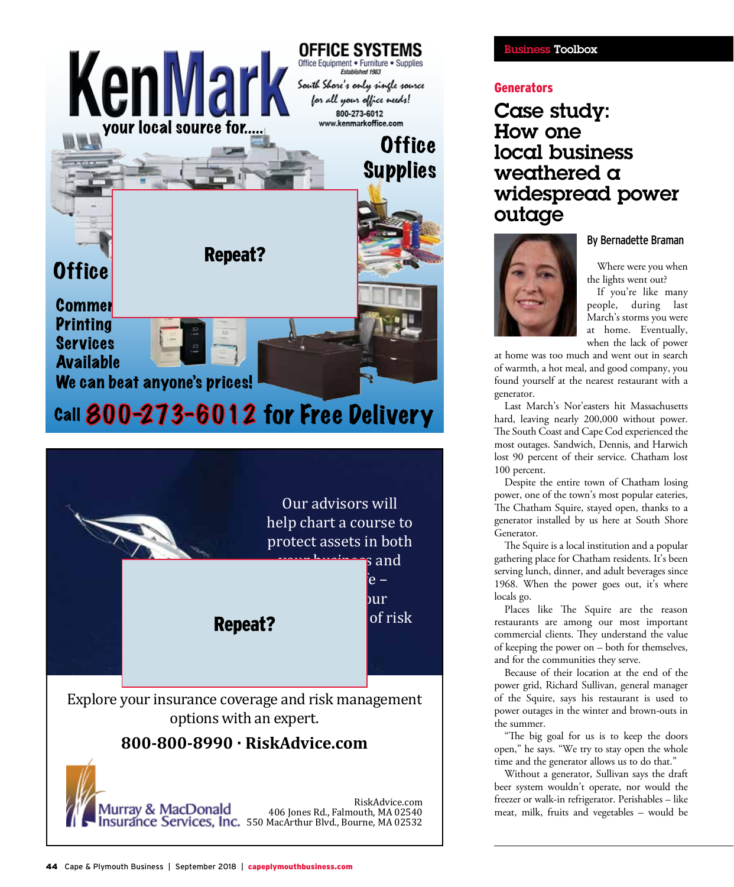



Explore your insurance coverage and risk management options with an expert.

## **800-800-8990 · RiskAdvice.com**



RiskAdvice.com 406 Jones Rd., Falmouth, MA 02540

## **SS** Toolbox

## **Generators**

Case study: How one local business weathered a widespread power outage



By Bernadette Braman

Where were you when the lights went out?

If you're like many people, during last March's storms you were at home. Eventually, when the lack of power

at home was too much and went out in search of warmth, a hot meal, and good company, you found yourself at the nearest restaurant with a generator.

Last March's Nor'easters hit Massachusetts hard, leaving nearly 200,000 without power. The South Coast and Cape Cod experienced the most outages. Sandwich, Dennis, and Harwich lost 90 percent of their service. Chatham lost 100 percent.

Despite the entire town of Chatham losing power, one of the town's most popular eateries, The Chatham Squire, stayed open, thanks to a generator installed by us here at South Shore Generator.

The Squire is a local institution and a popular gathering place for Chatham residents. It's been serving lunch, dinner, and adult beverages since 1968. When the power goes out, it's where locals go.

Places like The Squire are the reason restaurants are among our most important commercial clients. They understand the value of keeping the power on – both for themselves, and for the communities they serve.

Because of their location at the end of the power grid, Richard Sullivan, general manager of the Squire, says his restaurant is used to power outages in the winter and brown-outs in the summer.

"The big goal for us is to keep the doors open," he says. "We try to stay open the whole time and the generator allows us to do that."

Without a generator, Sullivan says the draft beer system wouldn't operate, nor would the freezer or walk-in refrigerator. Perishables – like meat, milk, fruits and vegetables – would be